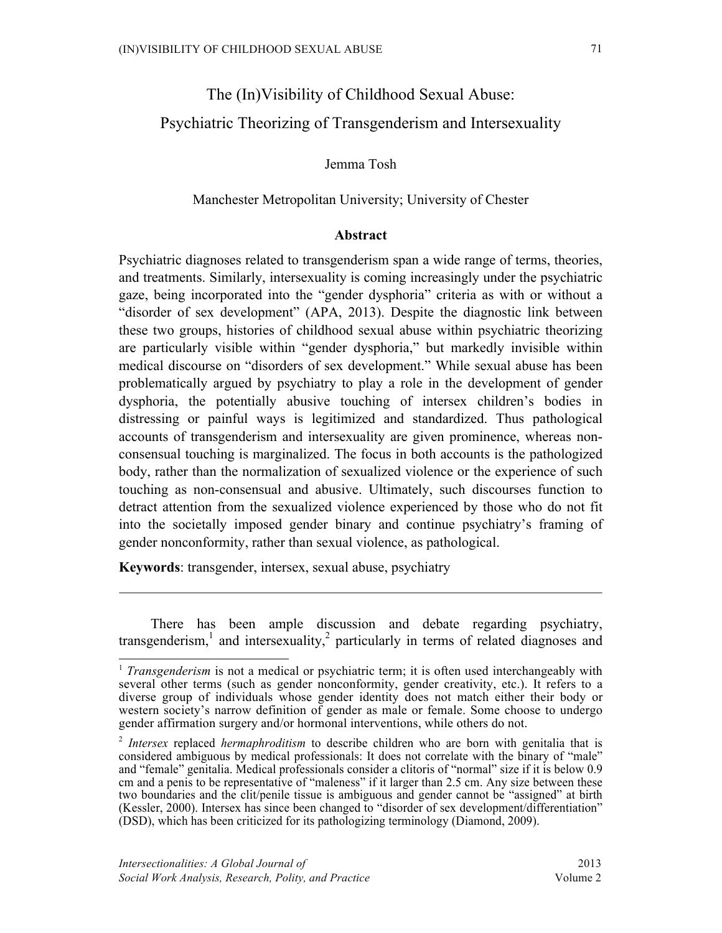## Jemma Tosh

## Manchester Metropolitan University; University of Chester

### **Abstract**

Psychiatric diagnoses related to transgenderism span a wide range of terms, theories, and treatments. Similarly, intersexuality is coming increasingly under the psychiatric gaze, being incorporated into the "gender dysphoria" criteria as with or without a "disorder of sex development" (APA, 2013). Despite the diagnostic link between these two groups, histories of childhood sexual abuse within psychiatric theorizing are particularly visible within "gender dysphoria," but markedly invisible within medical discourse on "disorders of sex development." While sexual abuse has been problematically argued by psychiatry to play a role in the development of gender dysphoria, the potentially abusive touching of intersex children's bodies in distressing or painful ways is legitimized and standardized. Thus pathological accounts of transgenderism and intersexuality are given prominence, whereas nonconsensual touching is marginalized. The focus in both accounts is the pathologized body, rather than the normalization of sexualized violence or the experience of such touching as non-consensual and abusive. Ultimately, such discourses function to detract attention from the sexualized violence experienced by those who do not fit into the societally imposed gender binary and continue psychiatry's framing of gender nonconformity, rather than sexual violence, as pathological.

**Keywords**: transgender, intersex, sexual abuse, psychiatry

There has been ample discussion and debate regarding psychiatry, transgenderism, $\frac{1}{x}$  and intersexuality, $\frac{2}{x}$  particularly in terms of related diagnoses and

<sup>&</sup>lt;sup>1</sup> *Transgenderism* is not a medical or psychiatric term; it is often used interchangeably with several other terms (such as gender nonconformity, gender creativity, etc.). It refers to a diverse group of individuals whose gender identity does not match either their body or western society's narrow definition of gender as male or female. Some choose to undergo gender affirmation surgery and/or hormonal interventions, while others do not.

<sup>2</sup> *Intersex* replaced *hermaphroditism* to describe children who are born with genitalia that is considered ambiguous by medical professionals: It does not correlate with the binary of "male" and "female" genitalia. Medical professionals consider a clitoris of "normal" size if it is below 0.9 cm and a penis to be representative of "maleness" if it larger than 2.5 cm. Any size between these two boundaries and the clit/penile tissue is ambiguous and gender cannot be "assigned" at birth (Kessler, 2000). Intersex has since been changed to "disorder of sex development/differentiation" (DSD), which has been criticized for its pathologizing terminology (Diamond, 2009).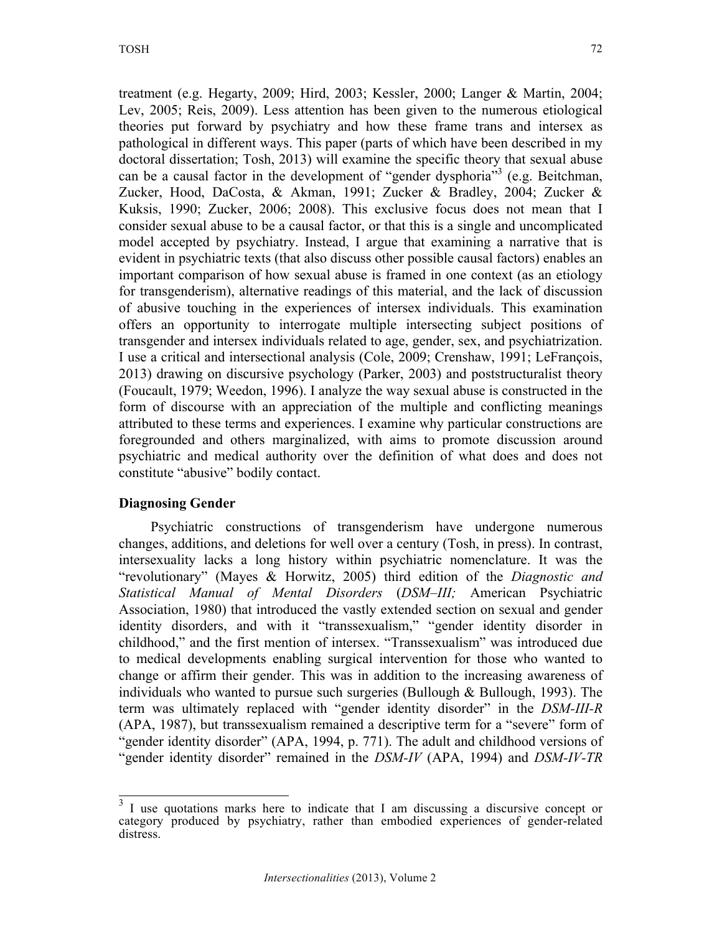treatment (e.g. Hegarty, 2009; Hird, 2003; Kessler, 2000; Langer & Martin, 2004; Lev, 2005; Reis, 2009). Less attention has been given to the numerous etiological theories put forward by psychiatry and how these frame trans and intersex as pathological in different ways. This paper (parts of which have been described in my doctoral dissertation; Tosh, 2013) will examine the specific theory that sexual abuse can be a causal factor in the development of "gender dysphoria"  $(e.g., Beitchman,$ Zucker, Hood, DaCosta, & Akman, 1991; Zucker & Bradley, 2004; Zucker & Kuksis, 1990; Zucker, 2006; 2008). This exclusive focus does not mean that I consider sexual abuse to be a causal factor, or that this is a single and uncomplicated model accepted by psychiatry. Instead, I argue that examining a narrative that is evident in psychiatric texts (that also discuss other possible causal factors) enables an important comparison of how sexual abuse is framed in one context (as an etiology for transgenderism), alternative readings of this material, and the lack of discussion of abusive touching in the experiences of intersex individuals. This examination offers an opportunity to interrogate multiple intersecting subject positions of transgender and intersex individuals related to age, gender, sex, and psychiatrization. I use a critical and intersectional analysis (Cole, 2009; Crenshaw, 1991; LeFrançois, 2013) drawing on discursive psychology (Parker, 2003) and poststructuralist theory (Foucault, 1979; Weedon, 1996). I analyze the way sexual abuse is constructed in the form of discourse with an appreciation of the multiple and conflicting meanings attributed to these terms and experiences. I examine why particular constructions are foregrounded and others marginalized, with aims to promote discussion around psychiatric and medical authority over the definition of what does and does not constitute "abusive" bodily contact.

## **Diagnosing Gender**

Psychiatric constructions of transgenderism have undergone numerous changes, additions, and deletions for well over a century (Tosh, in press). In contrast, intersexuality lacks a long history within psychiatric nomenclature. It was the "revolutionary" (Mayes & Horwitz, 2005) third edition of the *Diagnostic and Statistical Manual of Mental Disorders* (*DSM–III;* American Psychiatric Association, 1980) that introduced the vastly extended section on sexual and gender identity disorders, and with it "transsexualism," "gender identity disorder in childhood," and the first mention of intersex. "Transsexualism" was introduced due to medical developments enabling surgical intervention for those who wanted to change or affirm their gender. This was in addition to the increasing awareness of individuals who wanted to pursue such surgeries (Bullough  $\&$  Bullough, 1993). The term was ultimately replaced with "gender identity disorder" in the *DSM-III-R* (APA, 1987), but transsexualism remained a descriptive term for a "severe" form of "gender identity disorder" (APA, 1994, p. 771). The adult and childhood versions of "gender identity disorder" remained in the *DSM-IV* (APA, 1994) and *DSM-IV-TR*

 $3$  I use quotations marks here to indicate that I am discussing a discursive concept or category produced by psychiatry, rather than embodied experiences of gender-related distress.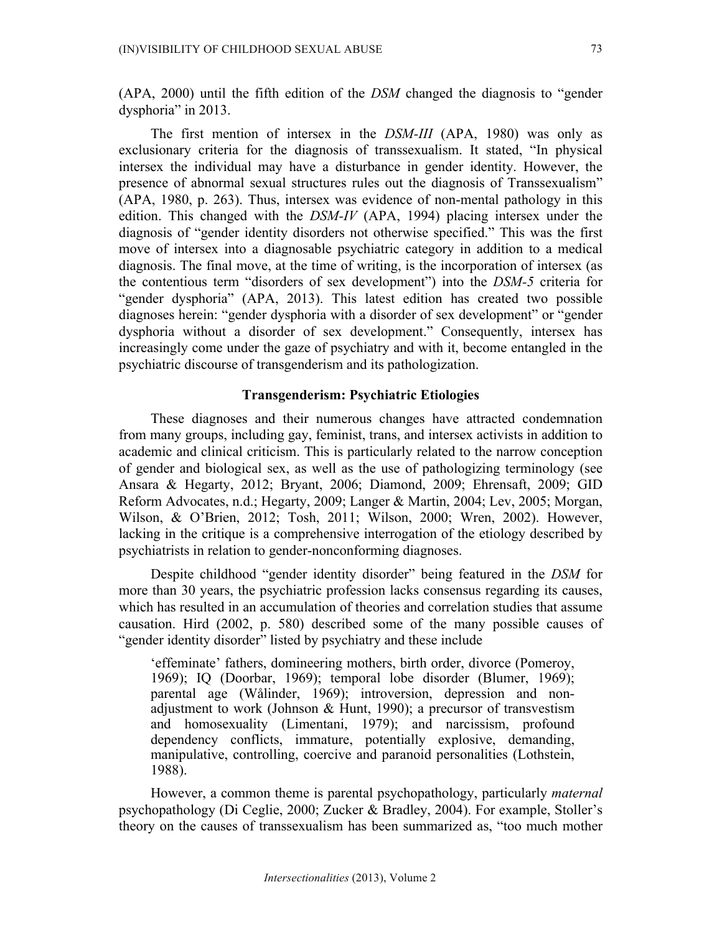(APA, 2000) until the fifth edition of the *DSM* changed the diagnosis to "gender dysphoria" in 2013.

The first mention of intersex in the *DSM-III* (APA, 1980) was only as exclusionary criteria for the diagnosis of transsexualism. It stated, "In physical intersex the individual may have a disturbance in gender identity. However, the presence of abnormal sexual structures rules out the diagnosis of Transsexualism" (APA, 1980, p. 263). Thus, intersex was evidence of non-mental pathology in this edition. This changed with the *DSM-IV* (APA, 1994) placing intersex under the diagnosis of "gender identity disorders not otherwise specified." This was the first move of intersex into a diagnosable psychiatric category in addition to a medical diagnosis. The final move, at the time of writing, is the incorporation of intersex (as the contentious term "disorders of sex development") into the *DSM-5* criteria for "gender dysphoria" (APA, 2013). This latest edition has created two possible diagnoses herein: "gender dysphoria with a disorder of sex development" or "gender dysphoria without a disorder of sex development." Consequently, intersex has increasingly come under the gaze of psychiatry and with it, become entangled in the psychiatric discourse of transgenderism and its pathologization.

#### **Transgenderism: Psychiatric Etiologies**

These diagnoses and their numerous changes have attracted condemnation from many groups, including gay, feminist, trans, and intersex activists in addition to academic and clinical criticism. This is particularly related to the narrow conception of gender and biological sex, as well as the use of pathologizing terminology (see Ansara & Hegarty, 2012; Bryant, 2006; Diamond, 2009; Ehrensaft, 2009; GID Reform Advocates, n.d.; Hegarty, 2009; Langer & Martin, 2004; Lev, 2005; Morgan, Wilson, & O'Brien, 2012; Tosh, 2011; Wilson, 2000; Wren, 2002). However, lacking in the critique is a comprehensive interrogation of the etiology described by psychiatrists in relation to gender-nonconforming diagnoses.

Despite childhood "gender identity disorder" being featured in the *DSM* for more than 30 years, the psychiatric profession lacks consensus regarding its causes, which has resulted in an accumulation of theories and correlation studies that assume causation. Hird (2002, p. 580) described some of the many possible causes of "gender identity disorder" listed by psychiatry and these include

'effeminate' fathers, domineering mothers, birth order, divorce (Pomeroy, 1969); IQ (Doorbar, 1969); temporal lobe disorder (Blumer, 1969); parental age (Wålinder, 1969); introversion, depression and nonadjustment to work (Johnson & Hunt, 1990); a precursor of transvestism and homosexuality (Limentani, 1979); and narcissism, profound dependency conflicts, immature, potentially explosive, demanding, manipulative, controlling, coercive and paranoid personalities (Lothstein, 1988).

However, a common theme is parental psychopathology, particularly *maternal* psychopathology (Di Ceglie, 2000; Zucker & Bradley, 2004). For example, Stoller's theory on the causes of transsexualism has been summarized as, "too much mother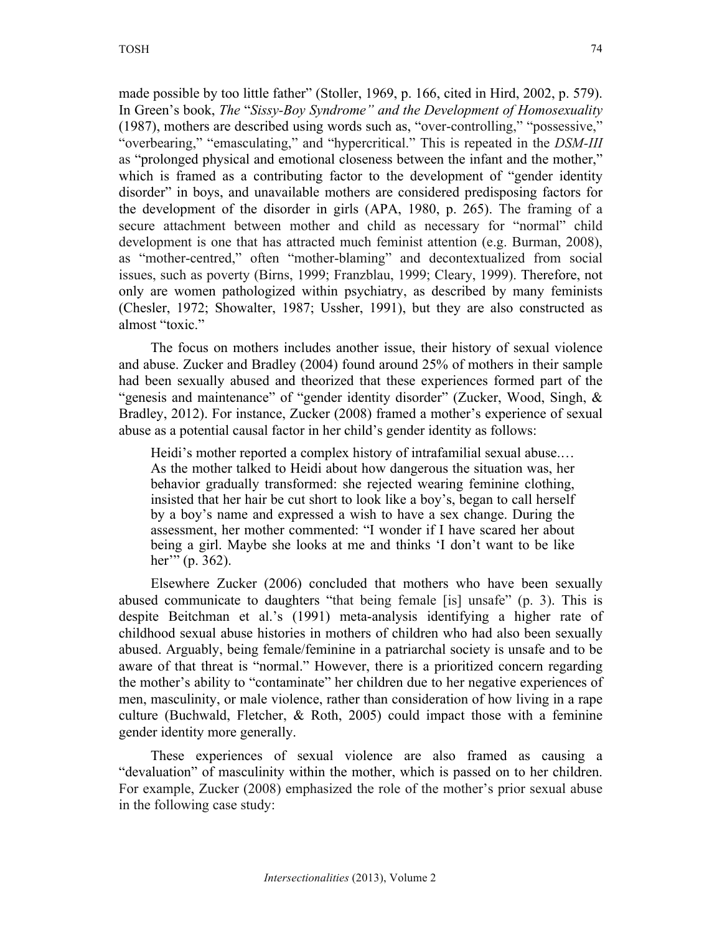made possible by too little father" (Stoller, 1969, p. 166, cited in Hird, 2002, p. 579). In Green's book, *The* "*Sissy-Boy Syndrome" and the Development of Homosexuality* (1987), mothers are described using words such as, "over-controlling," "possessive," "overbearing," "emasculating," and "hypercritical." This is repeated in the *DSM-III* as "prolonged physical and emotional closeness between the infant and the mother," which is framed as a contributing factor to the development of "gender identity disorder" in boys, and unavailable mothers are considered predisposing factors for the development of the disorder in girls (APA, 1980, p. 265). The framing of a secure attachment between mother and child as necessary for "normal" child development is one that has attracted much feminist attention (e.g. Burman, 2008), as "mother-centred," often "mother-blaming" and decontextualized from social issues, such as poverty (Birns, 1999; Franzblau, 1999; Cleary, 1999). Therefore, not only are women pathologized within psychiatry, as described by many feminists (Chesler, 1972; Showalter, 1987; Ussher, 1991), but they are also constructed as almost "toxic."

The focus on mothers includes another issue, their history of sexual violence and abuse. Zucker and Bradley (2004) found around 25% of mothers in their sample had been sexually abused and theorized that these experiences formed part of the "genesis and maintenance" of "gender identity disorder" (Zucker, Wood, Singh, & Bradley, 2012). For instance, Zucker (2008) framed a mother's experience of sexual abuse as a potential causal factor in her child's gender identity as follows:

Heidi's mother reported a complex history of intrafamilial sexual abuse.… As the mother talked to Heidi about how dangerous the situation was, her behavior gradually transformed: she rejected wearing feminine clothing, insisted that her hair be cut short to look like a boy's, began to call herself by a boy's name and expressed a wish to have a sex change. During the assessment, her mother commented: "I wonder if I have scared her about being a girl. Maybe she looks at me and thinks 'I don't want to be like her'" (p. 362).

Elsewhere Zucker (2006) concluded that mothers who have been sexually abused communicate to daughters "that being female [is] unsafe" (p. 3). This is despite Beitchman et al.'s (1991) meta-analysis identifying a higher rate of childhood sexual abuse histories in mothers of children who had also been sexually abused. Arguably, being female/feminine in a patriarchal society is unsafe and to be aware of that threat is "normal." However, there is a prioritized concern regarding the mother's ability to "contaminate" her children due to her negative experiences of men, masculinity, or male violence, rather than consideration of how living in a rape culture (Buchwald, Fletcher, & Roth, 2005) could impact those with a feminine gender identity more generally.

These experiences of sexual violence are also framed as causing a "devaluation" of masculinity within the mother, which is passed on to her children. For example, Zucker (2008) emphasized the role of the mother's prior sexual abuse in the following case study: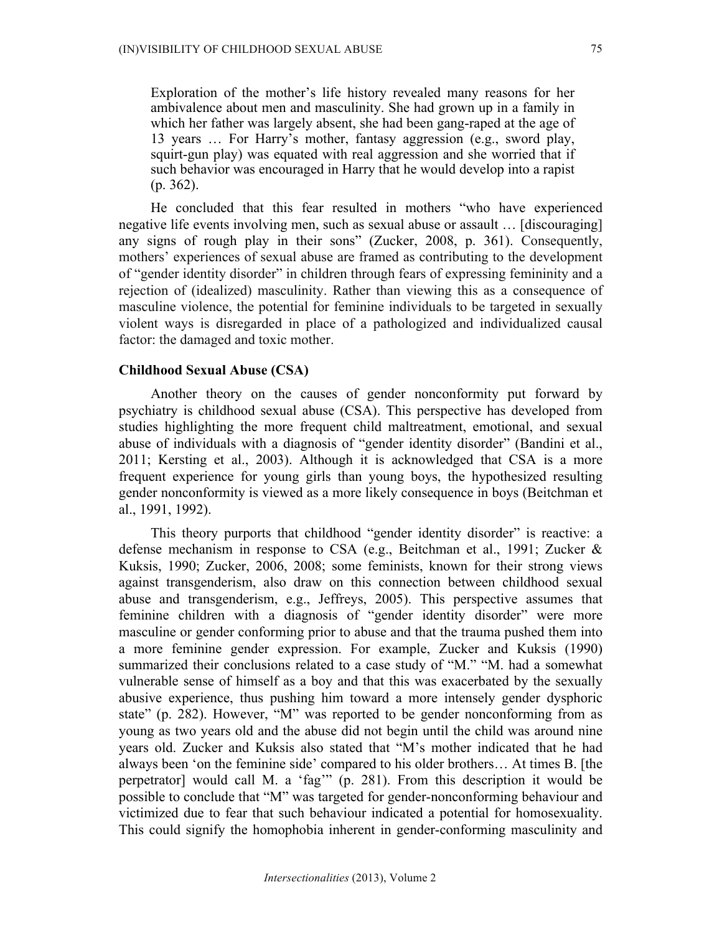Exploration of the mother's life history revealed many reasons for her ambivalence about men and masculinity. She had grown up in a family in which her father was largely absent, she had been gang-raped at the age of 13 years … For Harry's mother, fantasy aggression (e.g., sword play, squirt-gun play) was equated with real aggression and she worried that if such behavior was encouraged in Harry that he would develop into a rapist (p. 362).

He concluded that this fear resulted in mothers "who have experienced negative life events involving men, such as sexual abuse or assault … [discouraging] any signs of rough play in their sons" (Zucker, 2008, p. 361). Consequently, mothers' experiences of sexual abuse are framed as contributing to the development of "gender identity disorder" in children through fears of expressing femininity and a rejection of (idealized) masculinity. Rather than viewing this as a consequence of masculine violence, the potential for feminine individuals to be targeted in sexually violent ways is disregarded in place of a pathologized and individualized causal factor: the damaged and toxic mother.

### **Childhood Sexual Abuse (CSA)**

Another theory on the causes of gender nonconformity put forward by psychiatry is childhood sexual abuse (CSA). This perspective has developed from studies highlighting the more frequent child maltreatment, emotional, and sexual abuse of individuals with a diagnosis of "gender identity disorder" (Bandini et al., 2011; Kersting et al., 2003). Although it is acknowledged that CSA is a more frequent experience for young girls than young boys, the hypothesized resulting gender nonconformity is viewed as a more likely consequence in boys (Beitchman et al., 1991, 1992).

This theory purports that childhood "gender identity disorder" is reactive: a defense mechanism in response to CSA (e.g., Beitchman et al., 1991; Zucker & Kuksis, 1990; Zucker, 2006, 2008; some feminists, known for their strong views against transgenderism, also draw on this connection between childhood sexual abuse and transgenderism, e.g., Jeffreys, 2005). This perspective assumes that feminine children with a diagnosis of "gender identity disorder" were more masculine or gender conforming prior to abuse and that the trauma pushed them into a more feminine gender expression. For example, Zucker and Kuksis (1990) summarized their conclusions related to a case study of "M." "M. had a somewhat vulnerable sense of himself as a boy and that this was exacerbated by the sexually abusive experience, thus pushing him toward a more intensely gender dysphoric state" (p. 282). However, "M" was reported to be gender nonconforming from as young as two years old and the abuse did not begin until the child was around nine years old. Zucker and Kuksis also stated that "M's mother indicated that he had always been 'on the feminine side' compared to his older brothers… At times B. [the perpetrator] would call M. a 'fag'" (p. 281). From this description it would be possible to conclude that "M" was targeted for gender-nonconforming behaviour and victimized due to fear that such behaviour indicated a potential for homosexuality. This could signify the homophobia inherent in gender-conforming masculinity and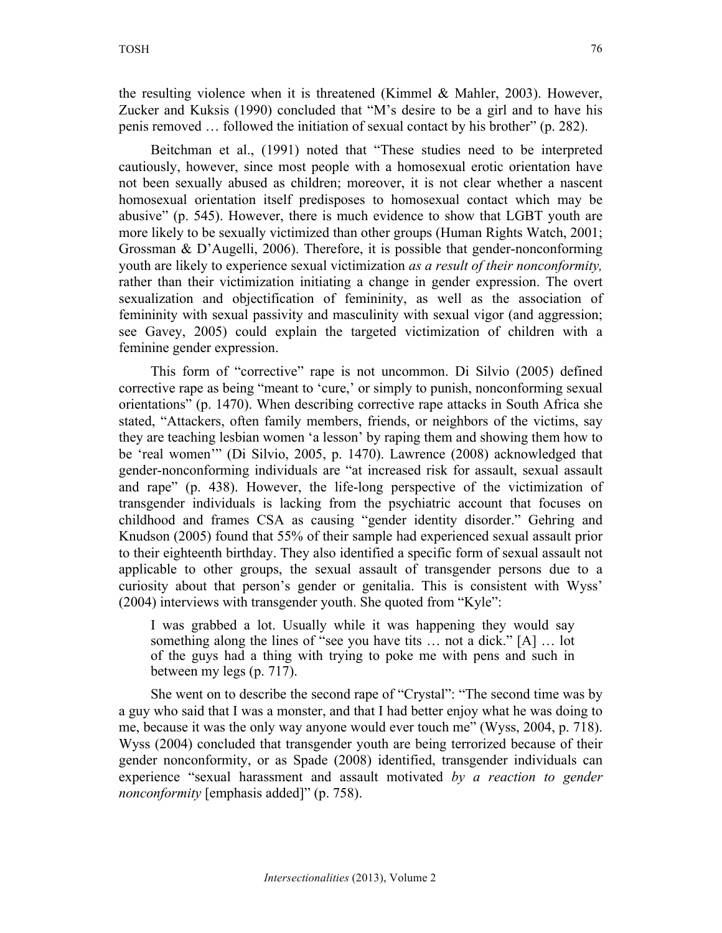the resulting violence when it is threatened (Kimmel & Mahler, 2003). However, Zucker and Kuksis (1990) concluded that "M's desire to be a girl and to have his penis removed … followed the initiation of sexual contact by his brother" (p. 282).

Beitchman et al., (1991) noted that "These studies need to be interpreted cautiously, however, since most people with a homosexual erotic orientation have not been sexually abused as children; moreover, it is not clear whether a nascent homosexual orientation itself predisposes to homosexual contact which may be abusive" (p. 545). However, there is much evidence to show that LGBT youth are more likely to be sexually victimized than other groups (Human Rights Watch, 2001; Grossman & D'Augelli, 2006). Therefore, it is possible that gender-nonconforming youth are likely to experience sexual victimization *as a result of their nonconformity,* rather than their victimization initiating a change in gender expression. The overt sexualization and objectification of femininity, as well as the association of femininity with sexual passivity and masculinity with sexual vigor (and aggression; see Gavey, 2005) could explain the targeted victimization of children with a feminine gender expression.

This form of "corrective" rape is not uncommon. Di Silvio (2005) defined corrective rape as being "meant to 'cure,' or simply to punish, nonconforming sexual orientations" (p. 1470). When describing corrective rape attacks in South Africa she stated, "Attackers, often family members, friends, or neighbors of the victims, say they are teaching lesbian women 'a lesson' by raping them and showing them how to be 'real women'" (Di Silvio, 2005, p. 1470). Lawrence (2008) acknowledged that gender-nonconforming individuals are "at increased risk for assault, sexual assault and rape" (p. 438). However, the life-long perspective of the victimization of transgender individuals is lacking from the psychiatric account that focuses on childhood and frames CSA as causing "gender identity disorder." Gehring and Knudson (2005) found that 55% of their sample had experienced sexual assault prior to their eighteenth birthday. They also identified a specific form of sexual assault not applicable to other groups, the sexual assault of transgender persons due to a curiosity about that person's gender or genitalia. This is consistent with Wyss' (2004) interviews with transgender youth. She quoted from "Kyle":

I was grabbed a lot. Usually while it was happening they would say something along the lines of "see you have tits … not a dick." [A] … lot of the guys had a thing with trying to poke me with pens and such in between my legs (p. 717).

She went on to describe the second rape of "Crystal": "The second time was by a guy who said that I was a monster, and that I had better enjoy what he was doing to me, because it was the only way anyone would ever touch me" (Wyss, 2004, p. 718). Wyss (2004) concluded that transgender youth are being terrorized because of their gender nonconformity, or as Spade (2008) identified, transgender individuals can experience "sexual harassment and assault motivated *by a reaction to gender nonconformity* [emphasis added]" (p. 758).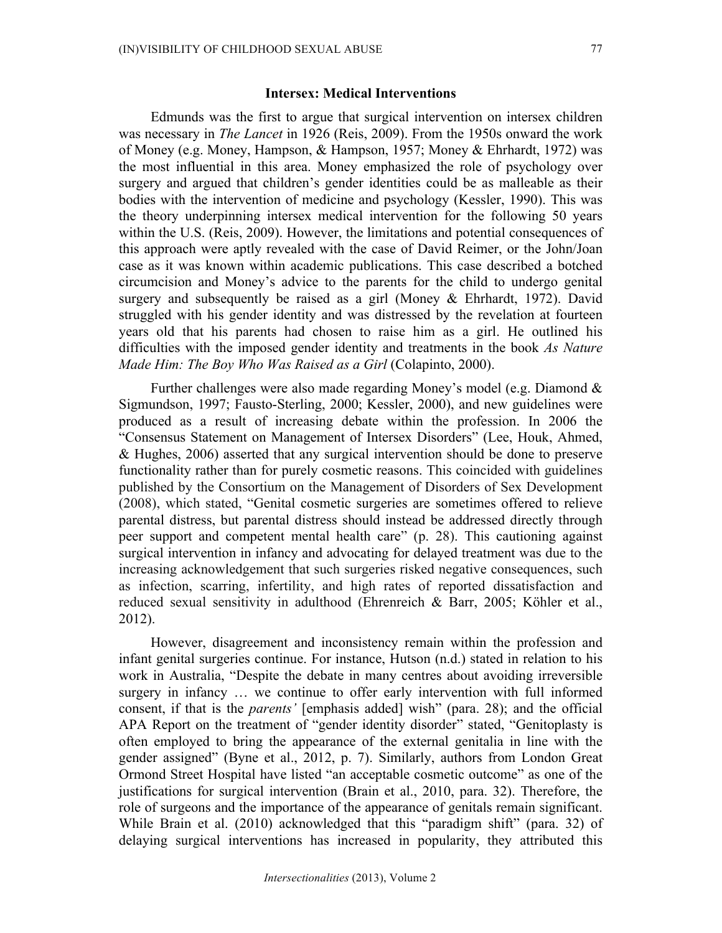#### **Intersex: Medical Interventions**

Edmunds was the first to argue that surgical intervention on intersex children was necessary in *The Lancet* in 1926 (Reis, 2009). From the 1950s onward the work of Money (e.g. Money, Hampson, & Hampson, 1957; Money & Ehrhardt, 1972) was the most influential in this area. Money emphasized the role of psychology over surgery and argued that children's gender identities could be as malleable as their bodies with the intervention of medicine and psychology (Kessler, 1990). This was the theory underpinning intersex medical intervention for the following 50 years within the U.S. (Reis, 2009). However, the limitations and potential consequences of this approach were aptly revealed with the case of David Reimer, or the John/Joan case as it was known within academic publications. This case described a botched circumcision and Money's advice to the parents for the child to undergo genital surgery and subsequently be raised as a girl (Money & Ehrhardt, 1972). David struggled with his gender identity and was distressed by the revelation at fourteen years old that his parents had chosen to raise him as a girl. He outlined his difficulties with the imposed gender identity and treatments in the book *As Nature Made Him: The Boy Who Was Raised as a Girl* (Colapinto, 2000).

Further challenges were also made regarding Money's model (e.g. Diamond & Sigmundson, 1997; Fausto-Sterling, 2000; Kessler, 2000), and new guidelines were produced as a result of increasing debate within the profession. In 2006 the "Consensus Statement on Management of Intersex Disorders" (Lee, Houk, Ahmed, & Hughes, 2006) asserted that any surgical intervention should be done to preserve functionality rather than for purely cosmetic reasons. This coincided with guidelines published by the Consortium on the Management of Disorders of Sex Development (2008), which stated, "Genital cosmetic surgeries are sometimes offered to relieve parental distress, but parental distress should instead be addressed directly through peer support and competent mental health care" (p. 28). This cautioning against surgical intervention in infancy and advocating for delayed treatment was due to the increasing acknowledgement that such surgeries risked negative consequences, such as infection, scarring, infertility, and high rates of reported dissatisfaction and reduced sexual sensitivity in adulthood (Ehrenreich & Barr, 2005; Köhler et al., 2012).

However, disagreement and inconsistency remain within the profession and infant genital surgeries continue. For instance, Hutson (n.d.) stated in relation to his work in Australia, "Despite the debate in many centres about avoiding irreversible surgery in infancy … we continue to offer early intervention with full informed consent, if that is the *parents'* [emphasis added] wish" (para. 28); and the official APA Report on the treatment of "gender identity disorder" stated, "Genitoplasty is often employed to bring the appearance of the external genitalia in line with the gender assigned" (Byne et al., 2012, p. 7). Similarly, authors from London Great Ormond Street Hospital have listed "an acceptable cosmetic outcome" as one of the justifications for surgical intervention (Brain et al., 2010, para. 32). Therefore, the role of surgeons and the importance of the appearance of genitals remain significant. While Brain et al. (2010) acknowledged that this "paradigm shift" (para. 32) of delaying surgical interventions has increased in popularity, they attributed this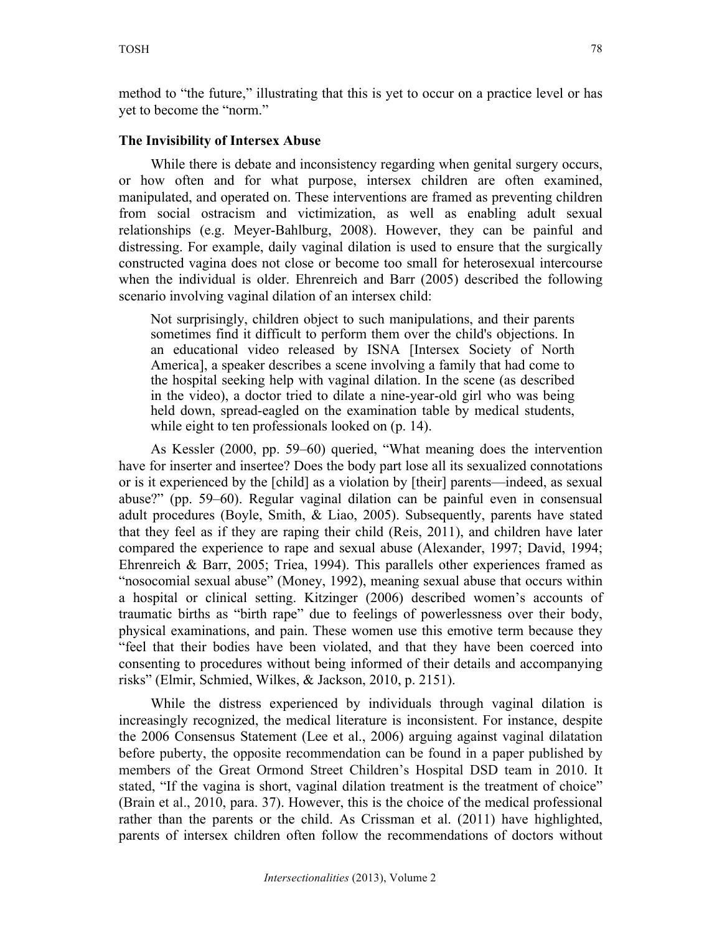# **The Invisibility of Intersex Abuse**

While there is debate and inconsistency regarding when genital surgery occurs, or how often and for what purpose, intersex children are often examined, manipulated, and operated on. These interventions are framed as preventing children from social ostracism and victimization, as well as enabling adult sexual relationships (e.g. Meyer-Bahlburg, 2008). However, they can be painful and distressing. For example, daily vaginal dilation is used to ensure that the surgically constructed vagina does not close or become too small for heterosexual intercourse when the individual is older. Ehrenreich and Barr (2005) described the following scenario involving vaginal dilation of an intersex child:

Not surprisingly, children object to such manipulations, and their parents sometimes find it difficult to perform them over the child's objections. In an educational video released by ISNA [Intersex Society of North America], a speaker describes a scene involving a family that had come to the hospital seeking help with vaginal dilation. In the scene (as described in the video), a doctor tried to dilate a nine-year-old girl who was being held down, spread-eagled on the examination table by medical students, while eight to ten professionals looked on (p. 14).

As Kessler (2000, pp. 59–60) queried, "What meaning does the intervention have for inserter and insertee? Does the body part lose all its sexualized connotations or is it experienced by the [child] as a violation by [their] parents—indeed, as sexual abuse?" (pp. 59–60). Regular vaginal dilation can be painful even in consensual adult procedures (Boyle, Smith, & Liao, 2005). Subsequently, parents have stated that they feel as if they are raping their child (Reis, 2011), and children have later compared the experience to rape and sexual abuse (Alexander, 1997; David, 1994; Ehrenreich & Barr, 2005; Triea, 1994). This parallels other experiences framed as "nosocomial sexual abuse" (Money, 1992), meaning sexual abuse that occurs within a hospital or clinical setting. Kitzinger (2006) described women's accounts of traumatic births as "birth rape" due to feelings of powerlessness over their body, physical examinations, and pain. These women use this emotive term because they "feel that their bodies have been violated, and that they have been coerced into consenting to procedures without being informed of their details and accompanying risks" (Elmir, Schmied, Wilkes, & Jackson, 2010, p. 2151).

While the distress experienced by individuals through vaginal dilation is increasingly recognized, the medical literature is inconsistent. For instance, despite the 2006 Consensus Statement (Lee et al., 2006) arguing against vaginal dilatation before puberty, the opposite recommendation can be found in a paper published by members of the Great Ormond Street Children's Hospital DSD team in 2010. It stated, "If the vagina is short, vaginal dilation treatment is the treatment of choice" (Brain et al., 2010, para. 37). However, this is the choice of the medical professional rather than the parents or the child. As Crissman et al. (2011) have highlighted, parents of intersex children often follow the recommendations of doctors without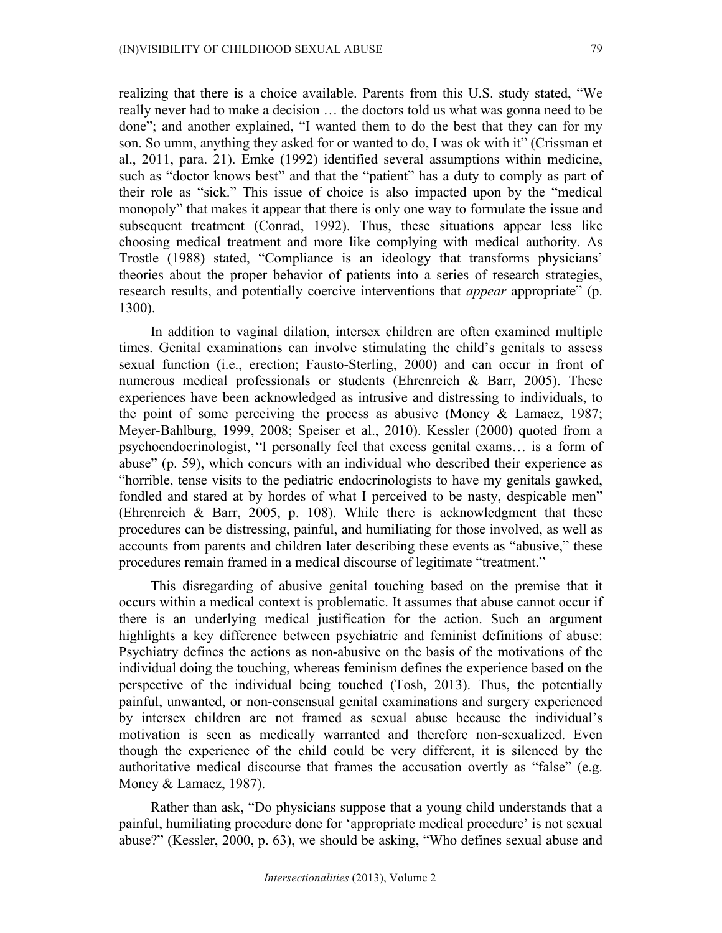realizing that there is a choice available. Parents from this U.S. study stated, "We really never had to make a decision … the doctors told us what was gonna need to be done"; and another explained, "I wanted them to do the best that they can for my son. So umm, anything they asked for or wanted to do, I was ok with it" (Crissman et al., 2011, para. 21). Emke (1992) identified several assumptions within medicine, such as "doctor knows best" and that the "patient" has a duty to comply as part of their role as "sick." This issue of choice is also impacted upon by the "medical monopoly" that makes it appear that there is only one way to formulate the issue and subsequent treatment (Conrad, 1992). Thus, these situations appear less like choosing medical treatment and more like complying with medical authority. As Trostle (1988) stated, "Compliance is an ideology that transforms physicians' theories about the proper behavior of patients into a series of research strategies, research results, and potentially coercive interventions that *appear* appropriate" (p. 1300).

In addition to vaginal dilation, intersex children are often examined multiple times. Genital examinations can involve stimulating the child's genitals to assess sexual function (i.e., erection; Fausto-Sterling, 2000) and can occur in front of numerous medical professionals or students (Ehrenreich & Barr, 2005). These experiences have been acknowledged as intrusive and distressing to individuals, to the point of some perceiving the process as abusive (Money & Lamacz, 1987; Meyer-Bahlburg, 1999, 2008; Speiser et al., 2010). Kessler (2000) quoted from a psychoendocrinologist, "I personally feel that excess genital exams… is a form of abuse" (p. 59), which concurs with an individual who described their experience as "horrible, tense visits to the pediatric endocrinologists to have my genitals gawked, fondled and stared at by hordes of what I perceived to be nasty, despicable men" (Ehrenreich & Barr, 2005, p. 108). While there is acknowledgment that these procedures can be distressing, painful, and humiliating for those involved, as well as accounts from parents and children later describing these events as "abusive," these procedures remain framed in a medical discourse of legitimate "treatment."

This disregarding of abusive genital touching based on the premise that it occurs within a medical context is problematic. It assumes that abuse cannot occur if there is an underlying medical justification for the action. Such an argument highlights a key difference between psychiatric and feminist definitions of abuse: Psychiatry defines the actions as non-abusive on the basis of the motivations of the individual doing the touching, whereas feminism defines the experience based on the perspective of the individual being touched (Tosh, 2013). Thus, the potentially painful, unwanted, or non-consensual genital examinations and surgery experienced by intersex children are not framed as sexual abuse because the individual's motivation is seen as medically warranted and therefore non-sexualized. Even though the experience of the child could be very different, it is silenced by the authoritative medical discourse that frames the accusation overtly as "false" (e.g. Money & Lamacz, 1987).

Rather than ask, "Do physicians suppose that a young child understands that a painful, humiliating procedure done for 'appropriate medical procedure' is not sexual abuse?" (Kessler, 2000, p. 63), we should be asking, "Who defines sexual abuse and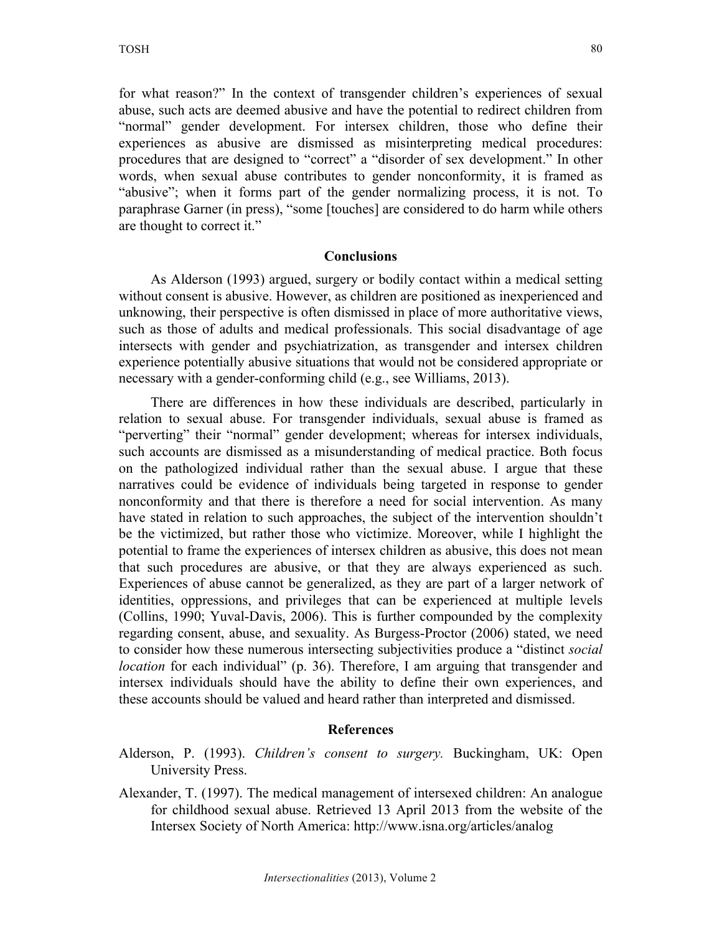for what reason?" In the context of transgender children's experiences of sexual abuse, such acts are deemed abusive and have the potential to redirect children from "normal" gender development. For intersex children, those who define their experiences as abusive are dismissed as misinterpreting medical procedures: procedures that are designed to "correct" a "disorder of sex development." In other words, when sexual abuse contributes to gender nonconformity, it is framed as "abusive"; when it forms part of the gender normalizing process, it is not. To paraphrase Garner (in press), "some [touches] are considered to do harm while others are thought to correct it."

#### **Conclusions**

As Alderson (1993) argued, surgery or bodily contact within a medical setting without consent is abusive. However, as children are positioned as inexperienced and unknowing, their perspective is often dismissed in place of more authoritative views, such as those of adults and medical professionals. This social disadvantage of age intersects with gender and psychiatrization, as transgender and intersex children experience potentially abusive situations that would not be considered appropriate or necessary with a gender-conforming child (e.g., see Williams, 2013).

There are differences in how these individuals are described, particularly in relation to sexual abuse. For transgender individuals, sexual abuse is framed as "perverting" their "normal" gender development; whereas for intersex individuals, such accounts are dismissed as a misunderstanding of medical practice. Both focus on the pathologized individual rather than the sexual abuse. I argue that these narratives could be evidence of individuals being targeted in response to gender nonconformity and that there is therefore a need for social intervention. As many have stated in relation to such approaches, the subject of the intervention shouldn't be the victimized, but rather those who victimize. Moreover, while I highlight the potential to frame the experiences of intersex children as abusive, this does not mean that such procedures are abusive, or that they are always experienced as such. Experiences of abuse cannot be generalized, as they are part of a larger network of identities, oppressions, and privileges that can be experienced at multiple levels (Collins, 1990; Yuval-Davis, 2006). This is further compounded by the complexity regarding consent, abuse, and sexuality. As Burgess-Proctor (2006) stated, we need to consider how these numerous intersecting subjectivities produce a "distinct *social location* for each individual" (p. 36). Therefore, I am arguing that transgender and intersex individuals should have the ability to define their own experiences, and these accounts should be valued and heard rather than interpreted and dismissed.

#### **References**

- Alderson, P. (1993). *Children's consent to surgery.* Buckingham, UK: Open University Press.
- Alexander, T. (1997). The medical management of intersexed children: An analogue for childhood sexual abuse. Retrieved 13 April 2013 from the website of the Intersex Society of North America: http://www.isna.org/articles/analog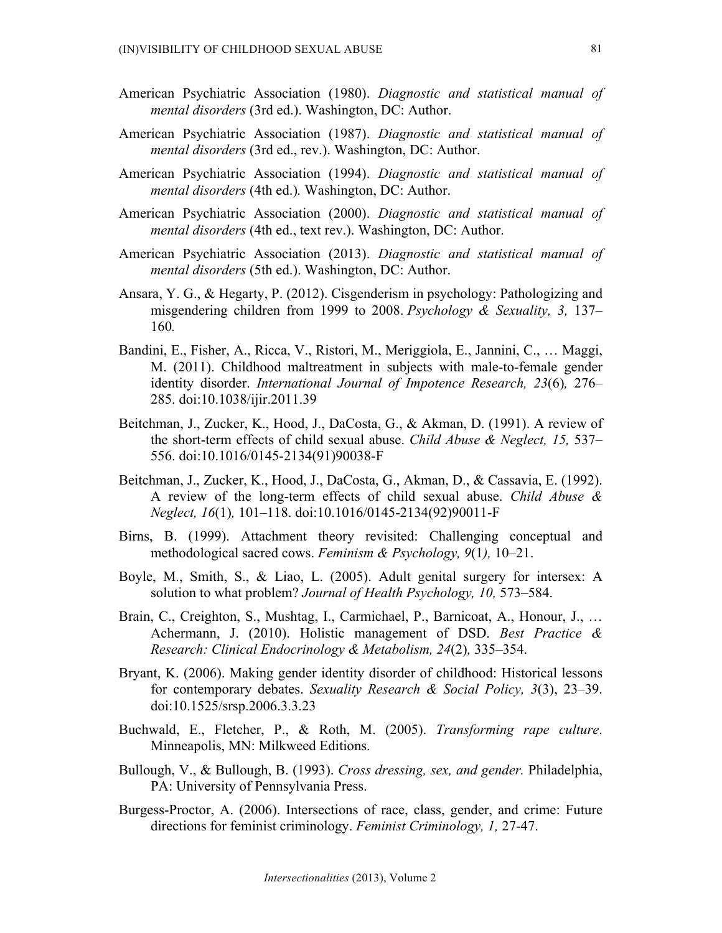- American Psychiatric Association (1980). *Diagnostic and statistical manual of mental disorders* (3rd ed.). Washington, DC: Author.
- American Psychiatric Association (1987). *Diagnostic and statistical manual of mental disorders* (3rd ed., rev.). Washington, DC: Author.
- American Psychiatric Association (1994). *Diagnostic and statistical manual of mental disorders* (4th ed.)*.* Washington, DC: Author.
- American Psychiatric Association (2000). *Diagnostic and statistical manual of mental disorders* (4th ed., text rev.). Washington, DC: Author.
- American Psychiatric Association (2013). *Diagnostic and statistical manual of mental disorders* (5th ed.). Washington, DC: Author.
- Ansara, Y. G., & Hegarty, P. (2012). Cisgenderism in psychology: Pathologizing and misgendering children from 1999 to 2008. *Psychology & Sexuality, 3,* 137– 160*.*
- Bandini, E., Fisher, A., Ricca, V., Ristori, M., Meriggiola, E., Jannini, C., … Maggi, M. (2011). Childhood maltreatment in subjects with male-to-female gender identity disorder. *International Journal of Impotence Research, 23*(6)*,* 276– 285. doi:10.1038/ijir.2011.39
- Beitchman, J., Zucker, K., Hood, J., DaCosta, G., & Akman, D. (1991). A review of the short-term effects of child sexual abuse. *Child Abuse & Neglect, 15,* 537– 556. doi:10.1016/0145-2134(91)90038-F
- Beitchman, J., Zucker, K., Hood, J., DaCosta, G., Akman, D., & Cassavia, E. (1992). A review of the long-term effects of child sexual abuse. *Child Abuse & Neglect, 16*(1)*,* 101–118. doi:10.1016/0145-2134(92)90011-F
- Birns, B. (1999). Attachment theory revisited: Challenging conceptual and methodological sacred cows. *Feminism & Psychology, 9*(1*),* 10–21.
- Boyle, M., Smith, S., & Liao, L. (2005). Adult genital surgery for intersex: A solution to what problem? *Journal of Health Psychology, 10,* 573–584.
- Brain, C., Creighton, S., Mushtag, I., Carmichael, P., Barnicoat, A., Honour, J., … Achermann, J. (2010). Holistic management of DSD. *Best Practice & Research: Clinical Endocrinology & Metabolism, 24*(2)*,* 335–354.
- Bryant, K. (2006). Making gender identity disorder of childhood: Historical lessons for contemporary debates. *Sexuality Research & Social Policy, 3*(3), 23–39. doi:10.1525/srsp.2006.3.3.23
- Buchwald, E., Fletcher, P., & Roth, M. (2005). *Transforming rape culture*. Minneapolis, MN: Milkweed Editions.
- Bullough, V., & Bullough, B. (1993). *Cross dressing, sex, and gender.* Philadelphia, PA: University of Pennsylvania Press.
- Burgess-Proctor, A. (2006). Intersections of race, class, gender, and crime: Future directions for feminist criminology. *Feminist Criminology, 1,* 27-47.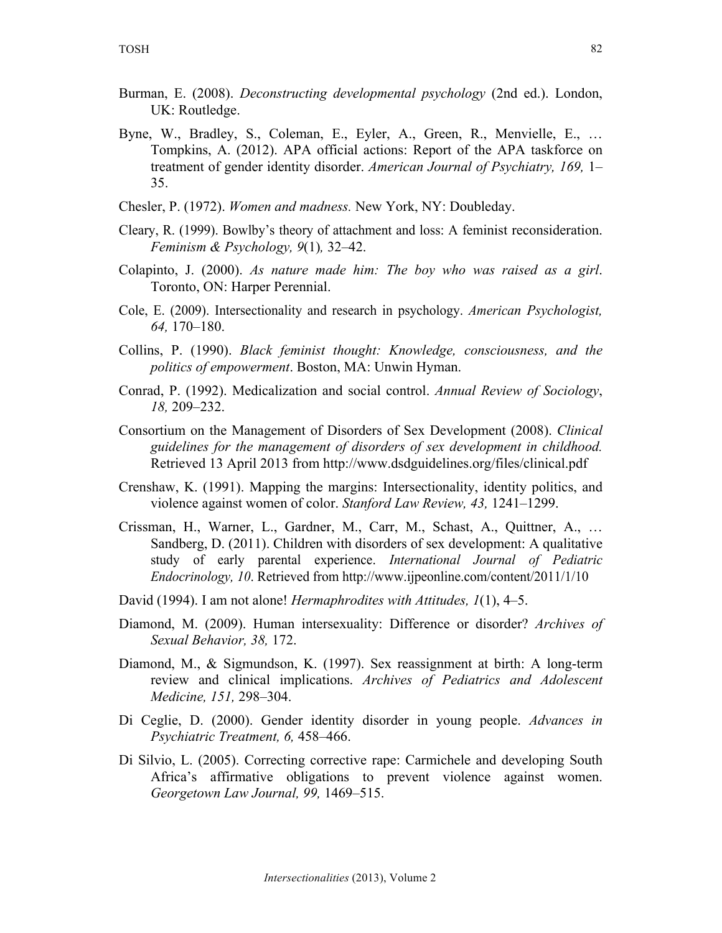- Burman, E. (2008). *Deconstructing developmental psychology* (2nd ed.). London, UK: Routledge.
- Byne, W., Bradley, S., Coleman, E., Eyler, A., Green, R., Menvielle, E., … Tompkins, A. (2012). APA official actions: Report of the APA taskforce on treatment of gender identity disorder. *American Journal of Psychiatry, 169,* 1– 35.
- Chesler, P. (1972). *Women and madness.* New York, NY: Doubleday.
- Cleary, R. (1999). Bowlby's theory of attachment and loss: A feminist reconsideration. *Feminism & Psychology, 9*(1)*,* 32–42.
- Colapinto, J. (2000). *As nature made him: The boy who was raised as a girl*. Toronto, ON: Harper Perennial.
- Cole, E. (2009). Intersectionality and research in psychology. *American Psychologist, 64,* 170–180.
- Collins, P. (1990). *Black feminist thought: Knowledge, consciousness, and the politics of empowerment*. Boston, MA: Unwin Hyman.
- Conrad, P. (1992). Medicalization and social control. *Annual Review of Sociology*, *18,* 209–232.
- Consortium on the Management of Disorders of Sex Development (2008). *Clinical guidelines for the management of disorders of sex development in childhood.* Retrieved 13 April 2013 from http://www.dsdguidelines.org/files/clinical.pdf
- Crenshaw, K. (1991). Mapping the margins: Intersectionality, identity politics, and violence against women of color. *Stanford Law Review, 43,* 1241–1299.
- Crissman, H., Warner, L., Gardner, M., Carr, M., Schast, A., Quittner, A., … Sandberg, D. (2011). Children with disorders of sex development: A qualitative study of early parental experience. *International Journal of Pediatric Endocrinology, 10*. Retrieved from http://www.ijpeonline.com/content/2011/1/10
- David (1994). I am not alone! *Hermaphrodites with Attitudes, 1*(1), 4–5.
- Diamond, M. (2009). Human intersexuality: Difference or disorder? *Archives of Sexual Behavior, 38,* 172.
- Diamond, M., & Sigmundson, K. (1997). Sex reassignment at birth: A long-term review and clinical implications. *Archives of Pediatrics and Adolescent Medicine, 151,* 298–304.
- Di Ceglie, D. (2000). Gender identity disorder in young people. *Advances in Psychiatric Treatment, 6,* 458–466.
- Di Silvio, L. (2005). Correcting corrective rape: Carmichele and developing South Africa's affirmative obligations to prevent violence against women. *Georgetown Law Journal, 99,* 1469–515.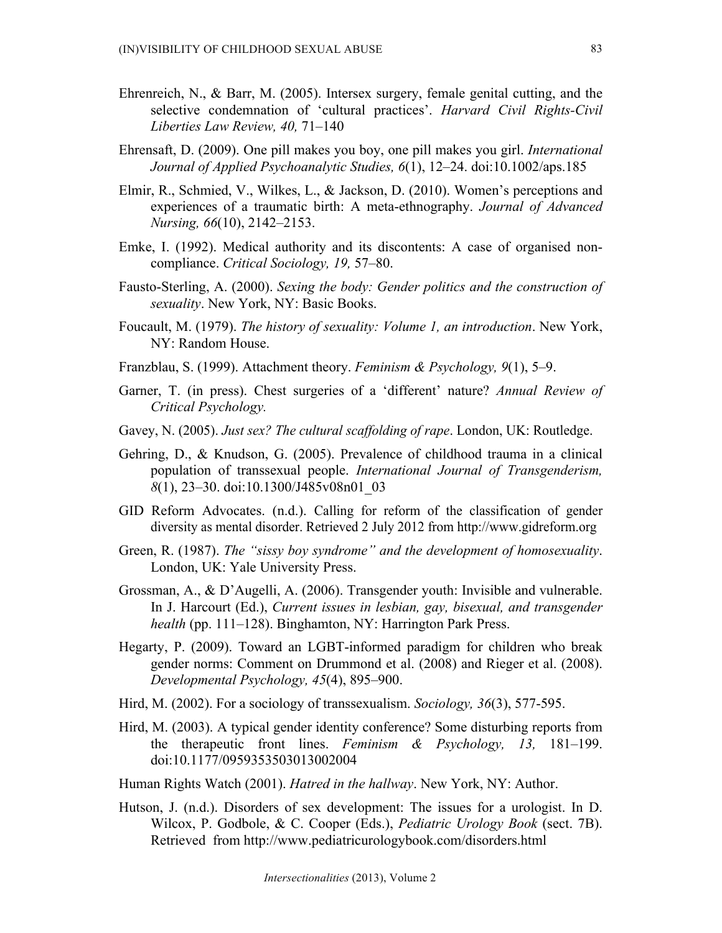- Ehrenreich, N., & Barr, M. (2005). Intersex surgery, female genital cutting, and the selective condemnation of 'cultural practices'. *Harvard Civil Rights-Civil Liberties Law Review, 40,* 71–140
- Ehrensaft, D. (2009). One pill makes you boy, one pill makes you girl. *International Journal of Applied Psychoanalytic Studies, 6*(1), 12–24. doi:10.1002/aps.185
- Elmir, R., Schmied, V., Wilkes, L., & Jackson, D. (2010). Women's perceptions and experiences of a traumatic birth: A meta-ethnography. *Journal of Advanced Nursing, 66*(10), 2142–2153.
- Emke, I. (1992). Medical authority and its discontents: A case of organised noncompliance. *Critical Sociology, 19,* 57–80.
- Fausto-Sterling, A. (2000). *Sexing the body: Gender politics and the construction of sexuality*. New York, NY: Basic Books.
- Foucault, M. (1979). *The history of sexuality: Volume 1, an introduction*. New York, NY: Random House.
- Franzblau, S. (1999). Attachment theory. *Feminism & Psychology, 9*(1), 5–9.
- Garner, T. (in press). Chest surgeries of a 'different' nature? *Annual Review of Critical Psychology.*
- Gavey, N. (2005). *Just sex? The cultural scaffolding of rape*. London, UK: Routledge.
- Gehring, D., & Knudson, G. (2005). Prevalence of childhood trauma in a clinical population of transsexual people. *International Journal of Transgenderism, 8*(1), 23–30. doi:10.1300/J485v08n01\_03
- GID Reform Advocates. (n.d.). Calling for reform of the classification of gender diversity as mental disorder. Retrieved 2 July 2012 from http://www.gidreform.org
- Green, R. (1987). *The "sissy boy syndrome" and the development of homosexuality*. London, UK: Yale University Press.
- Grossman, A., & D'Augelli, A. (2006). Transgender youth: Invisible and vulnerable. In J. Harcourt (Ed.), *Current issues in lesbian, gay, bisexual, and transgender health* (pp. 111–128). Binghamton, NY: Harrington Park Press.
- Hegarty, P. (2009). Toward an LGBT-informed paradigm for children who break gender norms: Comment on Drummond et al. (2008) and Rieger et al. (2008). *Developmental Psychology, 45*(4), 895–900.
- Hird, M. (2002). For a sociology of transsexualism. *Sociology, 36*(3), 577-595.
- Hird, M. (2003). A typical gender identity conference? Some disturbing reports from the therapeutic front lines. *Feminism & Psychology, 13,* 181–199. doi:10.1177/0959353503013002004
- Human Rights Watch (2001). *Hatred in the hallway*. New York, NY: Author.
- Hutson, J. (n.d.). Disorders of sex development: The issues for a urologist. In D. Wilcox, P. Godbole, & C. Cooper (Eds.), *Pediatric Urology Book* (sect. 7B). Retrieved from http://www.pediatricurologybook.com/disorders.html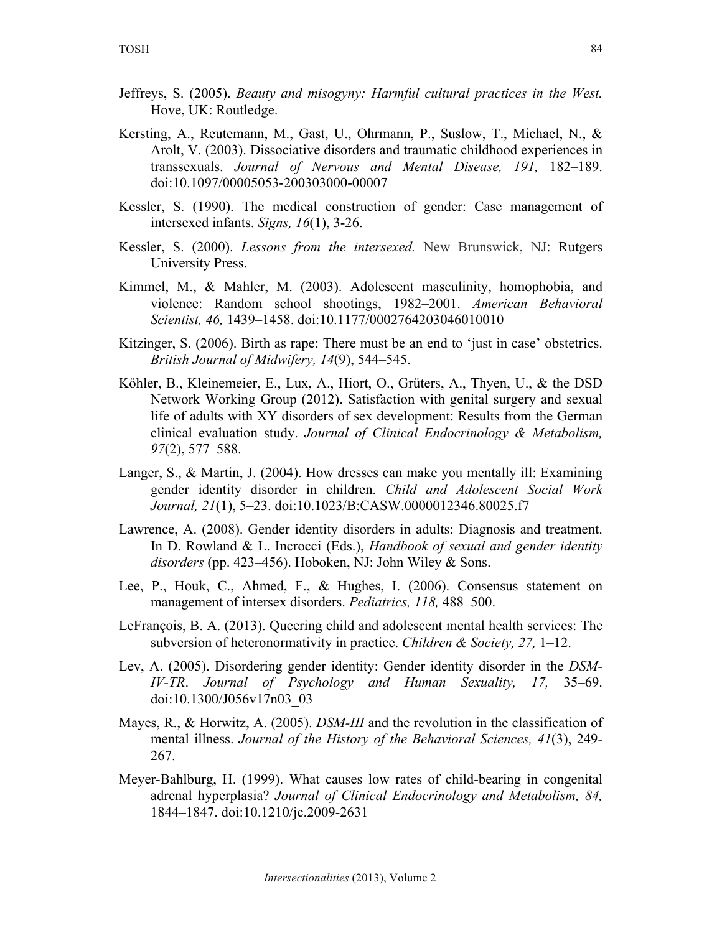- Jeffreys, S. (2005). *Beauty and misogyny: Harmful cultural practices in the West.* Hove, UK: Routledge.
- Kersting, A., Reutemann, M., Gast, U., Ohrmann, P., Suslow, T., Michael, N., & Arolt, V. (2003). Dissociative disorders and traumatic childhood experiences in transsexuals. *Journal of Nervous and Mental Disease, 191,* 182–189. doi:10.1097/00005053-200303000-00007
- Kessler, S. (1990). The medical construction of gender: Case management of intersexed infants. *Signs, 16*(1), 3-26.
- Kessler, S. (2000). *Lessons from the intersexed.* New Brunswick, NJ: Rutgers University Press.
- Kimmel, M., & Mahler, M. (2003). Adolescent masculinity, homophobia, and violence: Random school shootings, 1982–2001. *American Behavioral Scientist, 46,* 1439–1458. doi:10.1177/0002764203046010010
- Kitzinger, S. (2006). Birth as rape: There must be an end to 'just in case' obstetrics. *British Journal of Midwifery, 14*(9), 544–545.
- Köhler, B., Kleinemeier, E., Lux, A., Hiort, O., Grüters, A., Thyen, U., & the DSD Network Working Group (2012). Satisfaction with genital surgery and sexual life of adults with XY disorders of sex development: Results from the German clinical evaluation study. *Journal of Clinical Endocrinology & Metabolism, 97*(2), 577–588.
- Langer, S., & Martin, J. (2004). How dresses can make you mentally ill: Examining gender identity disorder in children. *Child and Adolescent Social Work Journal, 21*(1), 5–23. doi:10.1023/B:CASW.0000012346.80025.f7
- Lawrence, A. (2008). Gender identity disorders in adults: Diagnosis and treatment. In D. Rowland & L. Incrocci (Eds.), *Handbook of sexual and gender identity disorders* (pp. 423–456). Hoboken, NJ: John Wiley & Sons.
- Lee, P., Houk, C., Ahmed, F., & Hughes, I. (2006). Consensus statement on management of intersex disorders. *Pediatrics, 118,* 488–500.
- LeFrançois, B. A. (2013). Queering child and adolescent mental health services: The subversion of heteronormativity in practice. *Children & Society, 27,* 1–12.
- Lev, A. (2005). Disordering gender identity: Gender identity disorder in the *DSM-IV-TR*. *Journal of Psychology and Human Sexuality, 17,* 35–69. doi:10.1300/J056v17n03\_03
- Mayes, R., & Horwitz, A. (2005). *DSM-III* and the revolution in the classification of mental illness. *Journal of the History of the Behavioral Sciences, 41*(3), 249- 267.
- Meyer-Bahlburg, H. (1999). What causes low rates of child-bearing in congenital adrenal hyperplasia? *Journal of Clinical Endocrinology and Metabolism, 84,* 1844–1847. doi:10.1210/jc.2009-2631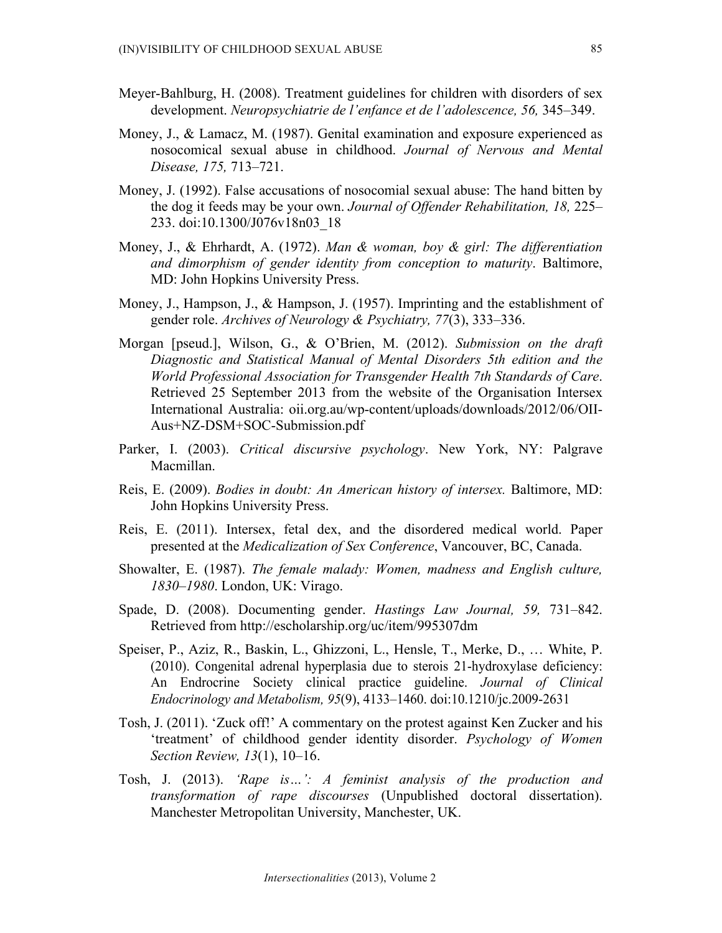- Meyer-Bahlburg, H. (2008). Treatment guidelines for children with disorders of sex development. *Neuropsychiatrie de l'enfance et de l'adolescence, 56,* 345–349.
- Money, J., & Lamacz, M. (1987). Genital examination and exposure experienced as nosocomical sexual abuse in childhood. *Journal of Nervous and Mental Disease, 175,* 713–721.
- Money, J. (1992). False accusations of nosocomial sexual abuse: The hand bitten by the dog it feeds may be your own. *Journal of Offender Rehabilitation, 18,* 225– 233. doi:10.1300/J076v18n03\_18
- Money, J., & Ehrhardt, A. (1972). *Man & woman, boy & girl: The differentiation and dimorphism of gender identity from conception to maturity*. Baltimore, MD: John Hopkins University Press.
- Money, J., Hampson, J., & Hampson, J. (1957). Imprinting and the establishment of gender role. *Archives of Neurology & Psychiatry, 77*(3), 333–336.
- Morgan [pseud.], Wilson, G., & O'Brien, M. (2012). *Submission on the draft Diagnostic and Statistical Manual of Mental Disorders 5th edition and the World Professional Association for Transgender Health 7th Standards of Care*. Retrieved 25 September 2013 from the website of the Organisation Intersex International Australia: oii.org.au/wp-content/uploads/downloads/2012/06/OII-Aus+NZ-DSM+SOC-Submission.pdf
- Parker, I. (2003). *Critical discursive psychology*. New York, NY: Palgrave Macmillan.
- Reis, E. (2009). *Bodies in doubt: An American history of intersex.* Baltimore, MD: John Hopkins University Press.
- Reis, E. (2011). Intersex, fetal dex, and the disordered medical world. Paper presented at the *Medicalization of Sex Conference*, Vancouver, BC, Canada.
- Showalter, E. (1987). *The female malady: Women, madness and English culture, 1830–1980*. London, UK: Virago.
- Spade, D. (2008). Documenting gender. *Hastings Law Journal, 59,* 731–842. Retrieved from http://escholarship.org/uc/item/995307dm
- Speiser, P., Aziz, R., Baskin, L., Ghizzoni, L., Hensle, T., Merke, D., … White, P. (2010). Congenital adrenal hyperplasia due to sterois 21-hydroxylase deficiency: An Endrocrine Society clinical practice guideline. *Journal of Clinical Endocrinology and Metabolism, 95*(9), 4133–1460. doi:10.1210/jc.2009-2631
- Tosh, J. (2011). 'Zuck off!' A commentary on the protest against Ken Zucker and his 'treatment' of childhood gender identity disorder. *Psychology of Women Section Review, 13*(1), 10–16.
- Tosh, J. (2013). *'Rape is…': A feminist analysis of the production and transformation of rape discourses* (Unpublished doctoral dissertation). Manchester Metropolitan University, Manchester, UK.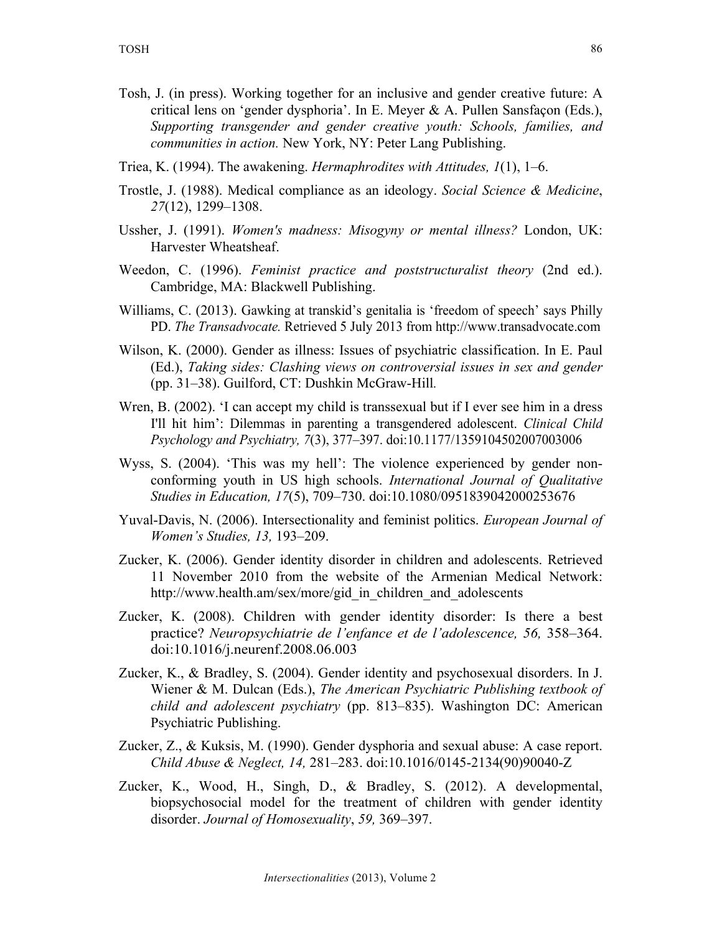- Tosh, J. (in press). Working together for an inclusive and gender creative future: A critical lens on 'gender dysphoria'. In E. Meyer & A. Pullen Sansfaçon (Eds.), *Supporting transgender and gender creative youth: Schools, families, and communities in action.* New York, NY: Peter Lang Publishing.
- Triea, K. (1994). The awakening. *Hermaphrodites with Attitudes, 1*(1), 1–6.
- Trostle, J. (1988). Medical compliance as an ideology. *Social Science & Medicine*, *27*(12), 1299–1308.
- Ussher, J. (1991). *Women's madness: Misogyny or mental illness?* London, UK: Harvester Wheatsheaf.
- Weedon, C. (1996). *Feminist practice and poststructuralist theory* (2nd ed.). Cambridge, MA: Blackwell Publishing.
- Williams, C. (2013). Gawking at transkid's genitalia is 'freedom of speech' says Philly PD. *The Transadvocate.* Retrieved 5 July 2013 from http://www.transadvocate.com
- Wilson, K. (2000). Gender as illness: Issues of psychiatric classification. In E. Paul (Ed.), *Taking sides: Clashing views on controversial issues in sex and gender*  (pp. 31–38). Guilford, CT: Dushkin McGraw-Hill*.*
- Wren, B. (2002). 'I can accept my child is transsexual but if I ever see him in a dress I'll hit him': Dilemmas in parenting a transgendered adolescent. *Clinical Child Psychology and Psychiatry, 7*(3), 377–397. doi:10.1177/1359104502007003006
- Wyss, S. (2004). 'This was my hell': The violence experienced by gender nonconforming youth in US high schools. *International Journal of Qualitative Studies in Education, 17*(5), 709–730. doi:10.1080/0951839042000253676
- Yuval-Davis, N. (2006). Intersectionality and feminist politics. *European Journal of Women's Studies, 13,* 193–209.
- Zucker, K. (2006). Gender identity disorder in children and adolescents. Retrieved 11 November 2010 from the website of the Armenian Medical Network: http://www.health.am/sex/more/gid\_in\_children\_and\_adolescents
- Zucker, K. (2008). Children with gender identity disorder: Is there a best practice? *Neuropsychiatrie de l'enfance et de l'adolescence, 56,* 358–364. doi:10.1016/j.neurenf.2008.06.003
- Zucker, K., & Bradley, S. (2004). Gender identity and psychosexual disorders. In J. Wiener & M. Dulcan (Eds.), *The American Psychiatric Publishing textbook of child and adolescent psychiatry* (pp. 813–835). Washington DC: American Psychiatric Publishing.
- Zucker, Z., & Kuksis, M. (1990). Gender dysphoria and sexual abuse: A case report. *Child Abuse & Neglect, 14,* 281–283. doi:10.1016/0145-2134(90)90040-Z
- Zucker, K., Wood, H., Singh, D., & Bradley, S. (2012). A developmental, biopsychosocial model for the treatment of children with gender identity disorder. *Journal of Homosexuality*, *59,* 369–397.